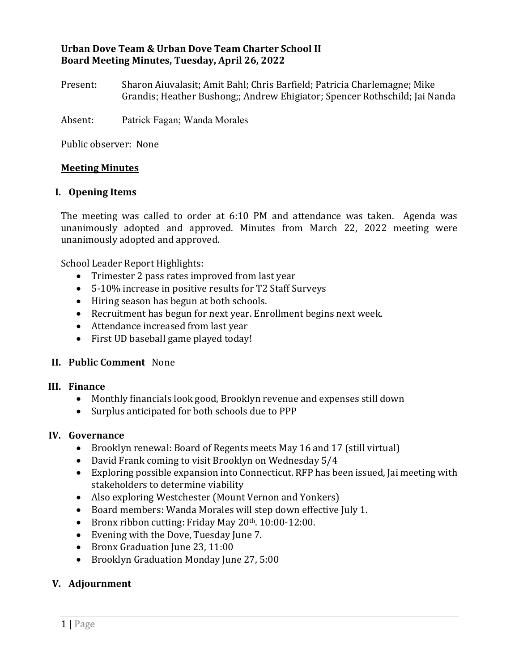# **Urban Dove Team & Urban Dove Team Charter School II Board Meeting Minutes, Tuesday, April 26, 2022**

Present: Sharon Aiuvalasit; Amit Bahl; Chris Barfield; Patricia Charlemagne; Mike Grandis; Heather Bushong;; Andrew Ehigiator; Spencer Rothschild; Jai Nanda

Absent: Patrick Fagan; Wanda Morales

Public observer: None

## **Meeting Minutes**

### **I. Opening Items**

The meeting was called to order at 6:10 PM and attendance was taken. Agenda was unanimously adopted and approved. Minutes from March 22, 2022 meeting were unanimously adopted and approved.

School Leader Report Highlights:

- Trimester 2 pass rates improved from last year
- 5-10% increase in positive results for T2 Staff Surveys
- Hiring season has begun at both schools.
- Recruitment has begun for next year. Enrollment begins next week.
- Attendance increased from last year
- First UD baseball game played today!

## **II. Public Comment** None

### **III. Finance**

- Monthly financials look good, Brooklyn revenue and expenses still down
- Surplus anticipated for both schools due to PPP

#### **IV. Governance**

- Brooklyn renewal: Board of Regents meets May 16 and 17 (still virtual)
- David Frank coming to visit Brooklyn on Wednesday 5/4
- Exploring possible expansion into Connecticut. RFP has been issued, Jai meeting with stakeholders to determine viability
- Also exploring Westchester (Mount Vernon and Yonkers)
- Board members: Wanda Morales will step down effective July 1.
- Bronx ribbon cutting: Friday May 20<sup>th</sup>. 10:00-12:00.
- Evening with the Dove, Tuesday June 7.
- Bronx Graduation June 23, 11:00
- Brooklyn Graduation Monday June 27, 5:00

# **V. Adjournment**